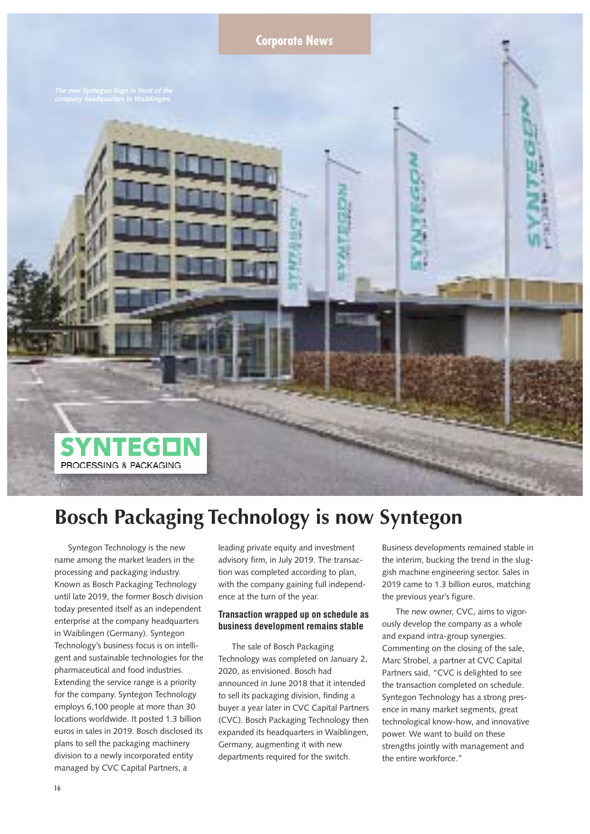

# **Bosch Packaging Technology is now Syntegon**

Syntegon Technology is the new name among the market leaders in the processing and packaging industry. Known as Bosch Packaging Technology until late 2019, the former Bosch division today presented itself as an independent enterprise at the company headquarters in Waiblingen (Germany). Syntegon Technology's business focus is on intelligent and sustainable technologies for the pharmaceutical and food industries. Extending the service range is a priority for the company. Syntegon Technology employs 6,100 people at more than 30 locations worldwide. It posted 1.3 billion euros in sales in 2019. Bosch disclosed its plans to sell the packaging machinery division to a newly incorporated entity managed by CVC Capital Partners, a

leading private equity and investment advisory firm, in July 2019. The transaction was completed according to plan, with the company gaining full independence at the turn of the year.

# **Transaction wrapped up on schedule as business development remains stable**

The sale of Bosch Packaging Technology was completed on January 2, 2020, as envisioned. Bosch had announced in June 2018 that it intended to sell its packaging division, finding a buyer a year later in CVC Capital Partners (CVC). Bosch Packaging Technology then expanded its headquarters in Waiblingen, Germany, augmenting it with new departments required for the switch.

Business developments remained stable in the interim, bucking the trend in the sluggish machine engineering sector. Sales in 2019 came to 1.3 billion euros, matching the previous year's figure.

The new owner, CVC, aims to vigorously develop the company as a whole and expand intra-group synergies. Commenting on the closing of the sale, Marc Strobel, a partner at CVC Capital Partners said, "CVC is delighted to see the transaction completed on schedule. Syntegon Technology has a strong presence in many market segments, great technological know-how, and innovative power. We want to build on these strengths jointly with management and the entire workforce."